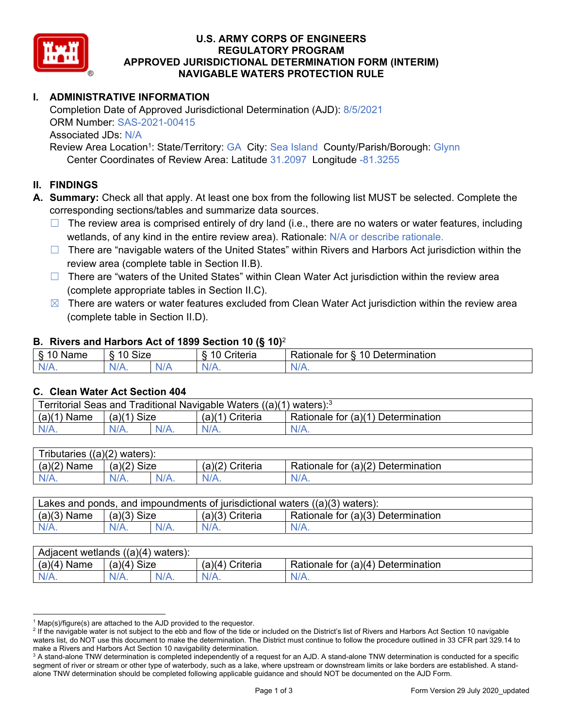

### **U.S. ARMY CORPS OF ENGINEERS REGULATORY PROGRAM APPROVED JURISDICTIONAL DETERMINATION FORM (INTERIM) NAVIGABLE WATERS PROTECTION RULE**

# **I. ADMINISTRATIVE INFORMATION**

Completion Date of Approved Jurisdictional Determination (AJD): 8/5/2021 ORM Number: SAS-2021-00415 Associated JDs: N/A

Review Area Location<sup>1</sup>: State/Territory: GA City: Sea Island County/Parish/Borough: Glynn Center Coordinates of Review Area: Latitude 31.2097 Longitude -81.3255

### **II. FINDINGS**

**A. Summary:** Check all that apply. At least one box from the following list MUST be selected. Complete the corresponding sections/tables and summarize data sources.

- $\Box$  The review area is comprised entirely of dry land (i.e., there are no waters or water features, including wetlands, of any kind in the entire review area). Rationale: N/A or describe rationale.
- $\Box$  There are "navigable waters of the United States" within Rivers and Harbors Act jurisdiction within the review area (complete table in Section II.B).
- $\Box$  There are "waters of the United States" within Clean Water Act jurisdiction within the review area (complete appropriate tables in Section II.C).
- $\boxtimes$  There are waters or water features excluded from Clean Water Act jurisdiction within the review area (complete table in Section II.D).

#### **B. Rivers and Harbors Act of 1899 Section 10 (§ 10)**<sup>2</sup>

| $\cdot$                                      |                                    |     |                           |                                                                                            |  |
|----------------------------------------------|------------------------------------|-----|---------------------------|--------------------------------------------------------------------------------------------|--|
| $\delta$<br>∽<br>.<br>'vame<br>.,<br>٠J<br>- | <b>Size</b><br>$\overline{A}$<br>c |     | 1 C<br>$"$ ritaria<br>ΙА. | $\overline{\phantom{a}}$<br>1 Q<br>⊃etermınatıon<br>$-1 - 1 - 1$<br>tor<br>kationale:<br>. |  |
| N/A.                                         | 97 A .                             | NIA | N//<br>17.                |                                                                                            |  |

#### **C. Clean Water Act Section 404**

| Territorial Seas and Traditional Navigable Waters ((a)(1)<br>waters): <sup>3</sup> |                |  |                    |                                           |  |
|------------------------------------------------------------------------------------|----------------|--|--------------------|-------------------------------------------|--|
| (a)(1)<br>Name                                                                     | Size<br>(a)(1) |  | Criteria<br>(a)(1) | Rationale for $(a)(1)$ D<br>Determination |  |
|                                                                                    | $N/A$ .        |  | $N/A$ .            | $N/A$ .                                   |  |

| Tributaries,<br>$((a)(2)$ waters): |                |         |                    |                                    |  |  |
|------------------------------------|----------------|---------|--------------------|------------------------------------|--|--|
| (a)(2)<br>Name                     | Size<br>(a)(2) |         | (a)(2)<br>Criteria | Rationale for (a)(2) Determination |  |  |
| $N/A$ .                            | $N/A$ .        | $N/A$ . | $N/A$ .            | N/A.                               |  |  |

| Lakes and ponds, and impoundments of jurisdictional waters $((a)(3)$ waters): |               |         |                   |                                    |  |
|-------------------------------------------------------------------------------|---------------|---------|-------------------|------------------------------------|--|
| $(a)(3)$ Name                                                                 | $(a)(3)$ Size |         | $(a)(3)$ Criteria | Rationale for (a)(3) Determination |  |
| $N/A$ .                                                                       | $N/A$ .       | $N/A$ . | $N/A$ .           | $N/A$ .                            |  |

| Adjacent wetlands $((a)(4)$ waters): |                |         |                   |                                    |  |  |
|--------------------------------------|----------------|---------|-------------------|------------------------------------|--|--|
| (a)(4)<br>Name                       | (a)(4)<br>Size |         | (a)(4<br>Criteria | Rationale for (a)(4) Determination |  |  |
| N/A.                                 | $N/A$ .        | $N/A$ . | $N/A$ .           | N/A.                               |  |  |

<sup>&</sup>lt;sup>1</sup> Map(s)/figure(s) are attached to the AJD provided to the requestor.<br><sup>2</sup> If the navigable water is not subject to the ebb and flow of the tide o

<sup>&</sup>lt;sup>2</sup> If the navigable water is not subject to the ebb and flow of the tide or included on the District's list of Rivers and Harbors Act Section 10 navigable waters list, do NOT use this document to make the determination. The District must continue to follow the procedure outlined in 33 CFR part 329.14 to make a Rivers and Harbors Act Section 10 navigability determination.

 $^3$  A stand-alone TNW determination is completed independently of a request for an AJD. A stand-alone TNW determination is conducted for a specific segment of river or stream or other type of waterbody, such as a lake, where upstream or downstream limits or lake borders are established. A standalone TNW determination should be completed following applicable guidance and should NOT be documented on the AJD Form.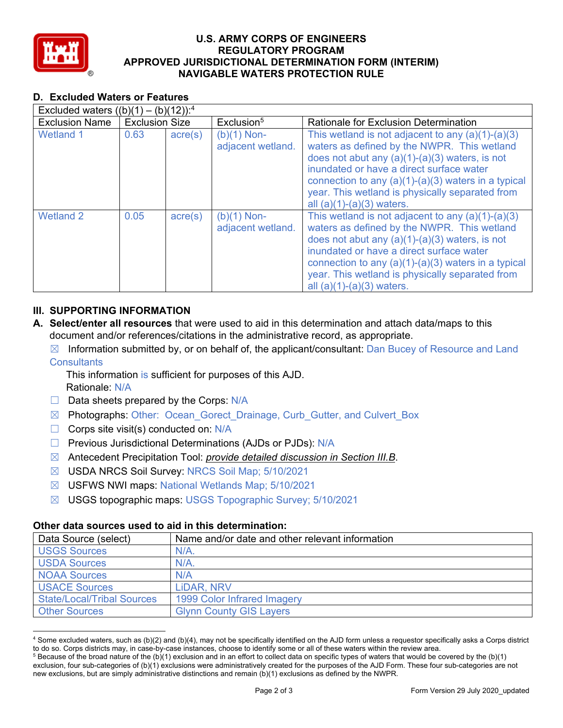

### **U.S. ARMY CORPS OF ENGINEERS REGULATORY PROGRAM APPROVED JURISDICTIONAL DETERMINATION FORM (INTERIM) NAVIGABLE WATERS PROTECTION RULE**

# **D. Excluded Waters or Features**

| Excluded waters $((b)(1) - (b)(12))$ : <sup>4</sup> |                       |                  |                                    |                                                                                                                                                                                                                                                                                                                                               |  |
|-----------------------------------------------------|-----------------------|------------------|------------------------------------|-----------------------------------------------------------------------------------------------------------------------------------------------------------------------------------------------------------------------------------------------------------------------------------------------------------------------------------------------|--|
| <b>Exclusion Name</b>                               | <b>Exclusion Size</b> |                  | Exclusion <sup>5</sup>             | Rationale for Exclusion Determination                                                                                                                                                                                                                                                                                                         |  |
| <b>Wetland 1</b>                                    | 0.63                  | $\text{acre}(s)$ | $(b)(1)$ Non-<br>adjacent wetland. | This wetland is not adjacent to any $(a)(1)-(a)(3)$<br>waters as defined by the NWPR. This wetland<br>does not abut any $(a)(1)-(a)(3)$ waters, is not<br>inundated or have a direct surface water<br>connection to any $(a)(1)-(a)(3)$ waters in a typical<br>year. This wetland is physically separated from<br>all $(a)(1)-(a)(3)$ waters. |  |
| <b>Wetland 2</b>                                    | 0.05                  | $\text{acre}(s)$ | $(b)(1)$ Non-<br>adjacent wetland. | This wetland is not adjacent to any $(a)(1)-(a)(3)$<br>waters as defined by the NWPR. This wetland<br>does not abut any $(a)(1)-(a)(3)$ waters, is not<br>inundated or have a direct surface water<br>connection to any $(a)(1)-(a)(3)$ waters in a typical<br>year. This wetland is physically separated from<br>all $(a)(1)-(a)(3)$ waters. |  |

# **III. SUPPORTING INFORMATION**

- **A. Select/enter all resources** that were used to aid in this determination and attach data/maps to this document and/or references/citations in the administrative record, as appropriate.
	- $\boxtimes$  Information submitted by, or on behalf of, the applicant/consultant: Dan Bucey of Resource and Land **Consultants** 
		- This information is sufficient for purposes of this AJD.
		- Rationale: N/A
	- $\Box$  Data sheets prepared by the Corps: N/A
	- ☒ Photographs: Other: Ocean\_Gorect\_Drainage, Curb\_Gutter, and Culvert\_Box
	- $\Box$  Corps site visit(s) conducted on: N/A
	- □ Previous Jurisdictional Determinations (AJDs or PJDs): N/A
	- ☒ Antecedent Precipitation Tool: *provide detailed discussion in Section III.B*.
	- ☒ USDA NRCS Soil Survey: NRCS Soil Map; 5/10/2021
	- ☒ USFWS NWI maps: National Wetlands Map; 5/10/2021
	- ☒ USGS topographic maps: USGS Topographic Survey; 5/10/2021

## **Other data sources used to aid in this determination:**

| Data Source (select)              | Name and/or date and other relevant information |
|-----------------------------------|-------------------------------------------------|
| <b>USGS Sources</b>               | $N/A$ .                                         |
| <b>USDA Sources</b>               | $N/A$ .                                         |
| <b>NOAA Sources</b>               | N/A                                             |
| <b>USACE Sources</b>              | LIDAR, NRV                                      |
| <b>State/Local/Tribal Sources</b> | 1999 Color Infrared Imagery                     |
| <b>Other Sources</b>              | <b>Glynn County GIS Layers</b>                  |

<sup>4</sup> Some excluded waters, such as (b)(2) and (b)(4), may not be specifically identified on the AJD form unless a requestor specifically asks a Corps district to do so. Corps districts may, in case-by-case instances, choose to identify some or all of these waters within the review area. 5

 $5$  Because of the broad nature of the (b)(1) exclusion and in an effort to collect data on specific types of waters that would be covered by the (b)(1) exclusion, four sub-categories of (b)(1) exclusions were administratively created for the purposes of the AJD Form. These four sub-categories are not new exclusions, but are simply administrative distinctions and remain (b)(1) exclusions as defined by the NWPR.